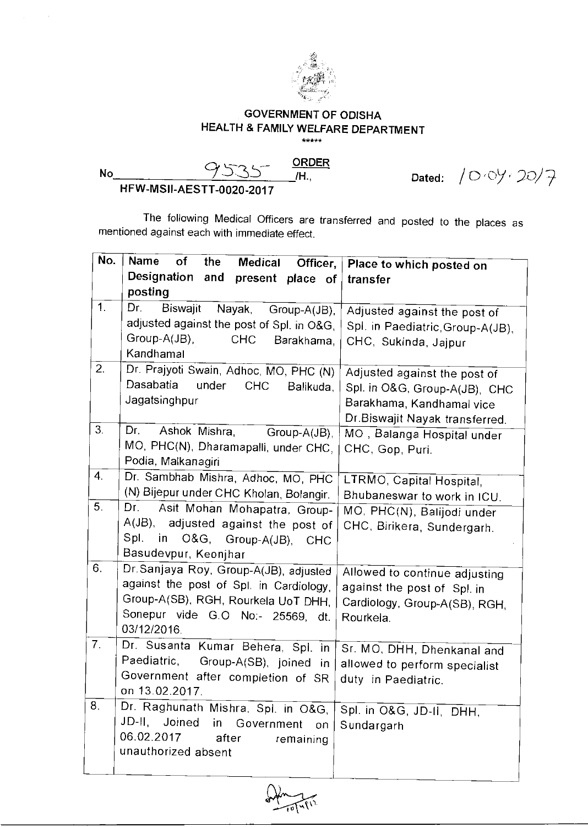

## **GOVERNMENT OF ODISHA HEALTH & FAMILY WELFARE DEPARTMENT**   $******$

**ORDER No** 9'335 **/H.,** 

Dated:  $/0.09.20/7$ 

**HFW-MSII-AESTT-0020-2017** 

The following Medical Officers are transferred and posted to the places as mentioned against each with immediate effect.

| No.            | <b>Name</b><br>оf<br>the<br>Medical                 | Officer,   Place to which posted on |
|----------------|-----------------------------------------------------|-------------------------------------|
|                | Designation and<br>present place of                 | transfer                            |
|                | posting                                             |                                     |
| 1 <sub>1</sub> | Dr.<br>Biswajit<br>Nayak,<br>Group-A(JB),           | Adjusted against the post of        |
|                | adjusted against the post of Spl. in O&G,           | Spl. in Paediatric, Group-A(JB),    |
|                | Group-A(JB),<br><b>CHC</b><br>Barakhama,            | CHC, Sukinda, Jajpur                |
|                | Kandhamal                                           |                                     |
| 2.             | Dr. Prajyoti Swain, Adhoc, MO, PHC (N)              | Adjusted against the post of        |
|                | Dasabatia<br>under<br><b>CHC</b><br>Balikuda,       | Spl. in O&G, Group-A(JB), CHC       |
|                | Jagatsinghpur                                       | Barakhama, Kandhamal vice           |
|                |                                                     | Dr.Biswajit Nayak transferred.      |
| 3.             | Dr. I<br>Ashok Mishra,<br>Group-A(JB),              | MO, Balanga Hospital under          |
|                | MO, PHC(N), Dharamapalli, under CHC,                | CHC, Gop, Puri.                     |
|                | Podia, Malkanagiri                                  |                                     |
| 4.             | Dr. Sambhab Mishra, Adhoc, MO, PHC                  | LTRMO, Capital Hospital,            |
|                | (N) Bijepur under CHC Kholan, Bolangir.             | Bhubaneswar to work in ICU.         |
| 5.             | Dr.<br>Asit Mohan Mohapatra, Group-                 | MO, PHC(N), Balijodi under          |
|                | A(JB), adjusted against the post of                 | CHC, Birikera, Sundergarh.          |
|                | Spl.<br>in O&G, Group-A(JB),<br><b>CHC</b>          |                                     |
|                | Basudevpur, Keonjhar                                |                                     |
| 6.             | Dr.Sanjaya Roy, Group-A(JB), adjusted               | Allowed to continue adjusting       |
|                | against the post of Spl. in Cardiology,             | against the post of Spl. in         |
|                | Group-A(SB), RGH, Rourkela UoT DHH,                 | Cardiology, Group-A(SB), RGH,       |
|                | Sonepur vide G.O No:- 25569, dt.<br>03/12/2016.     | Rourkela.                           |
| 7.             |                                                     |                                     |
|                | Dr. Susanta Kumar Behera, Spl. in<br>Paediatric,    | Sr. MO, DHH, Dhenkanal and          |
|                | Group-A(SB), joined<br>-in                          | allowed to perform specialist       |
|                | Government after completion of SR<br>on 13.02.2017. | duty in Paediatric.                 |
| 8.             | Dr. Raghunath Mishra, Spl. in O&G,                  |                                     |
|                | JD-II, Joined<br>in<br>Government                   | Spl. in O&G, JD-II, DHH,            |
|                | on<br>06.02.2017<br>after                           | Sundargarh                          |
|                | remaining<br>unauthorized absent                    |                                     |
|                |                                                     |                                     |
|                |                                                     |                                     |

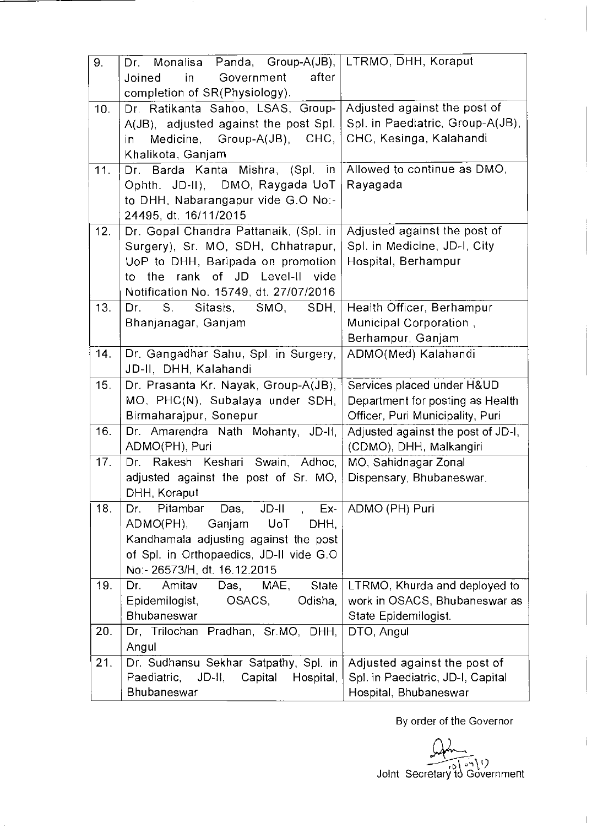| 9.  | Dr. Monalisa Panda, Group-A(JB),<br>Government<br>after<br>in<br>Joined<br>completion of SR(Physiology).                                                                                              | LTRMO, DHH, Koraput                                                                                |
|-----|-------------------------------------------------------------------------------------------------------------------------------------------------------------------------------------------------------|----------------------------------------------------------------------------------------------------|
| 10. | Dr. Ratikanta Sahoo, LSAS, Group-<br>A(JB), adjusted against the post Spl.<br>Medicine, Group-A(JB), CHC,<br>in<br>Khalikota, Ganjam                                                                  | Adjusted against the post of<br>Spl. in Paediatric, Group-A(JB),<br>CHC, Kesinga, Kalahandi        |
| 11. | Dr. Barda Kanta Mishra, (Spl. in<br>Ophth. JD-II), DMO, Raygada UoT<br>to DHH, Nabarangapur vide G.O No:-<br>24495, dt. 16/11/2015                                                                    | Allowed to continue as DMO,<br>Rayagada                                                            |
| 12. | Dr. Gopal Chandra Pattanaik, (Spl. in<br>Surgery), Sr. MO, SDH, Chhatrapur,<br>UoP to DHH, Baripada on promotion<br>the rank of JD Level-II<br>vide<br>to l<br>Notification No. 15749, dt. 27/07/2016 | Adjusted against the post of<br>Spl. in Medicine, JD-I, City<br>Hospital, Berhampur                |
| 13. | Sitasis,<br>SMO,<br>$S_{\cdot}$<br>SDH,<br>Dr.<br>Bhanjanagar, Ganjam                                                                                                                                 | Health Officer, Berhampur<br>Municipal Corporation,<br>Berhampur, Ganjam                           |
| 14. | Dr. Gangadhar Sahu, Spl. in Surgery,<br>JD-II, DHH, Kalahandi                                                                                                                                         | ADMO(Med) Kalahandi                                                                                |
| 15. | Dr. Prasanta Kr. Nayak, Group-A(JB),<br>MO, PHC(N), Subalaya under SDH,<br>Birmaharajpur, Sonepur                                                                                                     | Services placed under H&UD<br>Department for posting as Health<br>Officer, Puri Municipality, Puri |
| 16. | Dr. Amarendra Nath Mohanty, JD-II,<br>ADMO(PH), Puri                                                                                                                                                  | Adjusted against the post of JD-I,<br>(CDMO), DHH, Malkangiri                                      |
| 17. | Dr. Rakesh Keshari Swain, Adhoc,<br>adjusted against the post of Sr. MO,<br>DHH, Koraput                                                                                                              | MO, Sahidnagar Zonal<br>Dispensary, Bhubaneswar.                                                   |
| 18. | $JD-H$ ,<br>Das,<br>Pitambar<br>Ex-<br>Dr.<br>Ganjam<br>ADMO(PH),<br>UoT<br>DHH.<br>Kandhamala adjusting against the post<br>of Spl. in Orthopaedics, JD-II vide G.O.<br>No:- 26573/H, dt. 16.12.2015 | ADMO (PH) Puri                                                                                     |
| 19. | Amitav<br>State<br>Dr.<br>Das, MAE,<br>Epidemilogist,<br>OSACS,<br>Odisha,<br><b>Bhubaneswar</b>                                                                                                      | LTRMO, Khurda and deployed to<br>work in OSACS, Bhubaneswar as<br>State Epidemilogist.             |
| 20. | Dr, Trilochan Pradhan, Sr.MO, DHH,<br>Angul                                                                                                                                                           | DTO, Angul                                                                                         |
| 21. | Dr. Sudhansu Sekhar Satpathy, Spl. in<br>Paediatric, JD-II, Capital<br>Hospital,<br>Bhubaneswar                                                                                                       | Adjusted against the post of<br>Spl. in Paediatric, JD-I, Capital<br>Hospital, Bhubaneswar         |

By order of the Governor

 $\mathbf{i}$ 

 $\bar{\phantom{a}}$ 

l,

 $\Omega_{\rm max}$ Ioint Secretary to Government